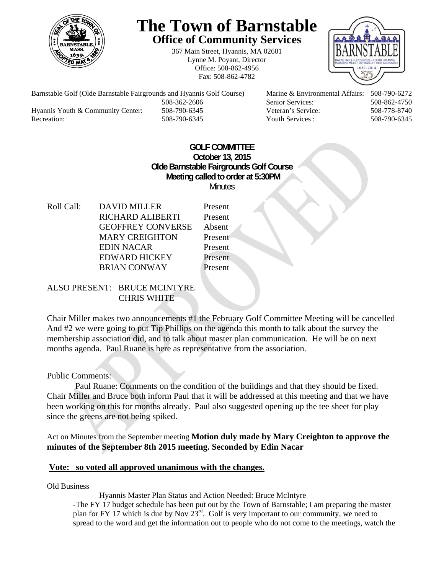

# **The Town of Barnstable Office of Community Services**

367 Main Street, Hyannis, MA 02601 Lynne M. Poyant, Director Office: 508-862-4956 Fax: 508-862-4782



 508-362-2606 Senior Services: 508-862-4750 Hyannis Youth & Community Center: 508-790-6345 Veteran's Service: 508-778-8740 Recreation: 508-790-6345 Youth Services : 508-790-6345 S08-790-6345

Barnstable Golf (Olde Barnstable Fairgrounds and Hyannis Golf Course) Marine & Environmental Affairs: 508-790-6272

## **GOLF COMMITTEE October 13, 2015 Olde Barnstable Fairgrounds Golf Course Meeting called to order at 5:30PM Minutes**

Roll Call: DAVID MILLER Present RICHARD ALIBERTI Present GEOFFREY CONVERSE Absent MARY CREIGHTON Present EDIN NACAR Present EDWARD HICKEY Present BRIAN CONWAY Present

# ALSO PRESENT: BRUCE MCINTYRE CHRIS WHITE

Chair Miller makes two announcements #1 the February Golf Committee Meeting will be cancelled And #2 we were going to put Tip Phillips on the agenda this month to talk about the survey the membership association did, and to talk about master plan communication. He will be on next months agenda. Paul Ruane is here as representative from the association.

## Public Comments:

 Paul Ruane: Comments on the condition of the buildings and that they should be fixed. Chair Miller and Bruce both inform Paul that it will be addressed at this meeting and that we have been working on this for months already. Paul also suggested opening up the tee sheet for play since the greens are not being spiked.

Act on Minutes from the September meeting **Motion duly made by Mary Creighton to approve the minutes of the September 8th 2015 meeting. Seconded by Edin Nacar** 

## **Vote: so voted all approved unanimous with the changes.**

Old Business

Hyannis Master Plan Status and Action Needed: Bruce McIntyre

-The FY 17 budget schedule has been put out by the Town of Barnstable; I am preparing the master plan for FY 17 which is due by Nov  $23^{rd}$ . Golf is very important to our community, we need to spread to the word and get the information out to people who do not come to the meetings, watch the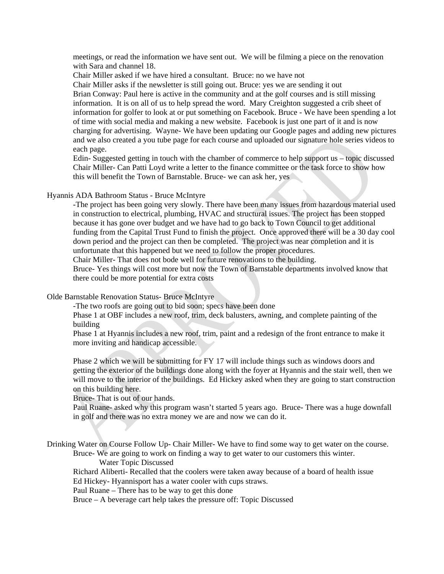meetings, or read the information we have sent out. We will be filming a piece on the renovation with Sara and channel 18.

Chair Miller asked if we have hired a consultant. Bruce: no we have not

 Chair Miller asks if the newsletter is still going out. Bruce: yes we are sending it out Brian Conway: Paul here is active in the community and at the golf courses and is still missing information. It is on all of us to help spread the word. Mary Creighton suggested a crib sheet of information for golfer to look at or put something on Facebook. Bruce - We have been spending a lot of time with social media and making a new website. Facebook is just one part of it and is now charging for advertising. Wayne- We have been updating our Google pages and adding new pictures and we also created a you tube page for each course and uploaded our signature hole series videos to each page.

Edin- Suggested getting in touch with the chamber of commerce to help support us – topic discussed Chair Miller- Can Patti Loyd write a letter to the finance committee or the task force to show how this will benefit the Town of Barnstable. Bruce- we can ask her, yes

#### Hyannis ADA Bathroom Status - Bruce McIntyre

-The project has been going very slowly. There have been many issues from hazardous material used in construction to electrical, plumbing, HVAC and structural issues. The project has been stopped because it has gone over budget and we have had to go back to Town Council to get additional funding from the Capital Trust Fund to finish the project. Once approved there will be a 30 day cool down period and the project can then be completed. The project was near completion and it is unfortunate that this happened but we need to follow the proper procedures.

Chair Miller- That does not bode well for future renovations to the building.

Bruce- Yes things will cost more but now the Town of Barnstable departments involved know that there could be more potential for extra costs

#### Olde Barnstable Renovation Status- Bruce McIntyre

-The two roofs are going out to bid soon; specs have been done

Phase 1 at OBF includes a new roof, trim, deck balusters, awning, and complete painting of the building

Phase 1 at Hyannis includes a new roof, trim, paint and a redesign of the front entrance to make it more inviting and handicap accessible.

Phase 2 which we will be submitting for FY 17 will include things such as windows doors and getting the exterior of the buildings done along with the foyer at Hyannis and the stair well, then we will move to the interior of the buildings. Ed Hickey asked when they are going to start construction on this building here.

Bruce- That is out of our hands.

Paul Ruane- asked why this program wasn't started 5 years ago. Bruce- There was a huge downfall in golf and there was no extra money we are and now we can do it.

Drinking Water on Course Follow Up- Chair Miller- We have to find some way to get water on the course. Bruce- We are going to work on finding a way to get water to our customers this winter.

Water Topic Discussed

 Richard Aliberti- Recalled that the coolers were taken away because of a board of health issue Ed Hickey- Hyannisport has a water cooler with cups straws.

Paul Ruane – There has to be way to get this done

Bruce – A beverage cart help takes the pressure off: Topic Discussed